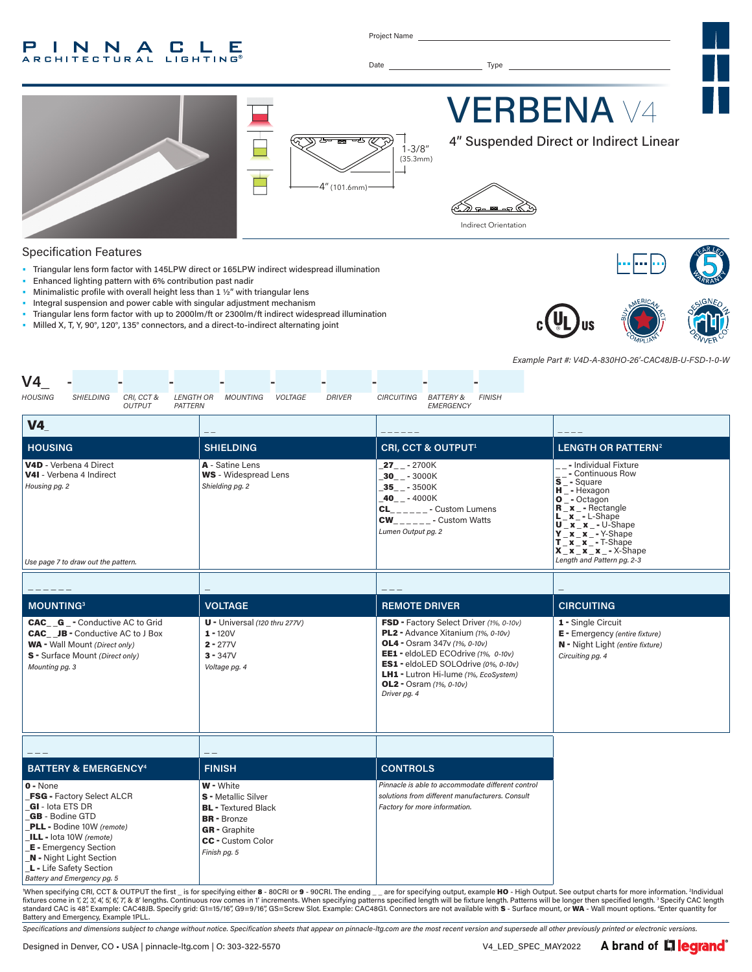#### P INNA **C L** E **RCHITECTURAL LIGHTING®**

Project Name

Date Type



#### Specification Features

- Triangular lens form factor with 145LPW direct or 165LPW indirect widespread illumination
- Enhanced lighting pattern with 6% contribution past nadir
- Minimalistic profile with overall height less than 1 ½" with triangular lens
- Integral suspension and power cable with singular adjustment mechanism
- Triangular lens form factor with up to 2000lm/ft or 2300lm/ft indirect widespread illumination
- Milled X, T, Y, 90°, 120°, 135° connectors, and a direct-to-indirect alternating joint







*Example Part #: V4D-A-830HO-26'-CAC48JB-U-FSD-1-0-W*

| V4                                                       |                                                                                                                                                                                                                      |                             |                             |                                                                                                                                                                 |         |               |                                                                                                      |                                                                                                                                                                                                                                                                                 |               |                                                                                                                                                                                                                                                                                                        |  |
|----------------------------------------------------------|----------------------------------------------------------------------------------------------------------------------------------------------------------------------------------------------------------------------|-----------------------------|-----------------------------|-----------------------------------------------------------------------------------------------------------------------------------------------------------------|---------|---------------|------------------------------------------------------------------------------------------------------|---------------------------------------------------------------------------------------------------------------------------------------------------------------------------------------------------------------------------------------------------------------------------------|---------------|--------------------------------------------------------------------------------------------------------------------------------------------------------------------------------------------------------------------------------------------------------------------------------------------------------|--|
| <b>HOUSING</b>                                           | <b>SHIELDING</b>                                                                                                                                                                                                     | CRI, CCT &<br><b>OUTPUT</b> | <b>LENGTH OR</b><br>PATTERN | <b>MOUNTING</b>                                                                                                                                                 | VOLTAGE | <b>DRIVER</b> | CIRCUITING                                                                                           | <b>BATTERY &amp;</b><br>EMERGENCY                                                                                                                                                                                                                                               | <b>FINISH</b> |                                                                                                                                                                                                                                                                                                        |  |
| V4                                                       |                                                                                                                                                                                                                      |                             |                             |                                                                                                                                                                 |         |               |                                                                                                      |                                                                                                                                                                                                                                                                                 |               |                                                                                                                                                                                                                                                                                                        |  |
| <b>HOUSING</b>                                           |                                                                                                                                                                                                                      |                             |                             | <b>SHIELDING</b>                                                                                                                                                |         |               |                                                                                                      | CRI, CCT & OUTPUT <sup>1</sup>                                                                                                                                                                                                                                                  |               | <b>LENGTH OR PATTERN<sup>2</sup></b>                                                                                                                                                                                                                                                                   |  |
| Housing pg. 2                                            | V4D - Verbena 4 Direct<br>V4I - Verbena 4 Indirect<br>Use page 7 to draw out the pattern.                                                                                                                            |                             |                             | A - Satine Lens<br><b>WS</b> - Widespread Lens<br>Shielding pg. 2                                                                                               |         |               | $27 - 2700K$<br>$30 - -3000K$<br>$-35$ <sub>-</sub> $-3500K$<br>$40 - - 4000K$<br>Lumen Output pg. 2 | $CL$ <sub>_____</sub> __ - Custom Lumens<br>$CW_{\_ \_ \_ \_ \_ \_ \_ \_ \_ \_ \_ \_ \_ \_ \_ \_ \_ \_ \}$ Custom Watts                                                                                                                                                         |               | - Individual Fixture<br>$\frac{-1}{s}$ - Continuous Row<br>$\frac{1}{s}$ - Square<br>H - Hexagon<br>$O^-$ - Octagon<br><b>R</b> x - Rectangle<br>$x - L$ -Shape<br>$U_x_x_x - U-Shape$<br>$Y$ $X$ $X$ $ *$ $ Y$ -Shape<br>$T x x - T-Shape$<br>$X_x_x_x_x - x$ - X-Shape<br>Length and Pattern pg. 2-3 |  |
|                                                          |                                                                                                                                                                                                                      |                             |                             |                                                                                                                                                                 |         |               |                                                                                                      |                                                                                                                                                                                                                                                                                 |               |                                                                                                                                                                                                                                                                                                        |  |
|                                                          |                                                                                                                                                                                                                      |                             |                             |                                                                                                                                                                 |         |               |                                                                                                      |                                                                                                                                                                                                                                                                                 |               |                                                                                                                                                                                                                                                                                                        |  |
| <b>MOUNTING3</b>                                         |                                                                                                                                                                                                                      |                             |                             | <b>VOLTAGE</b>                                                                                                                                                  |         |               | <b>REMOTE DRIVER</b>                                                                                 |                                                                                                                                                                                                                                                                                 |               | <b>CIRCUITING</b>                                                                                                                                                                                                                                                                                      |  |
| Mounting pg. 3                                           | <b>CAC__G_-</b> Conductive AC to Grid<br><b>CAC__JB</b> - Conductive AC to J Box<br><b>WA</b> - Wall Mount (Direct only)<br>S - Surface Mount (Direct only)                                                          |                             |                             | $U -$ Universal (120 thru 277V)<br>$1 - 120V$<br>$2 - 277V$<br>$3 - 347V$<br>Voltage pg. 4                                                                      |         |               | Driver pg. 4                                                                                         | FSD - Factory Select Driver (1%, 0-10v)<br>PL2 - Advance Xitanium (1%, 0-10v)<br><b>OL4</b> - Osram 347v (1%, 0-10v)<br>EE1 - eldoLED ECOdrive (1%, 0-10v)<br>ES1 - eldoLED SOLOdrive (0%, 0-10v)<br>LH1 - Lutron Hi-lume (1%, EcoSystem)<br><b>OL2</b> - Osram $(1\% , 0-10v)$ |               | 1 - Single Circuit<br>E - Emergency (entire fixture)<br>N - Night Light (entire fixture)<br>Circuiting pg. 4                                                                                                                                                                                           |  |
|                                                          |                                                                                                                                                                                                                      |                             |                             |                                                                                                                                                                 |         |               |                                                                                                      |                                                                                                                                                                                                                                                                                 |               |                                                                                                                                                                                                                                                                                                        |  |
|                                                          | <b>BATTERY &amp; EMERGENCY<sup>4</sup></b>                                                                                                                                                                           |                             |                             | <b>FINISH</b>                                                                                                                                                   |         |               | <b>CONTROLS</b>                                                                                      |                                                                                                                                                                                                                                                                                 |               |                                                                                                                                                                                                                                                                                                        |  |
| $0 - None$<br>GI - lota ETS DR<br><b>GB</b> - Bodine GTD | FSG - Factory Select ALCR<br><b>PLL</b> - Bodine 10W (remote)<br>ILL - lota 10W (remote)<br><b>E</b> - Emergency Section<br><b>N</b> - Night Light Section<br>L - Life Safety Section<br>Battery and Emergency pg. 5 |                             |                             | <b>W</b> - White<br>S - Metallic Silver<br><b>BL</b> - Textured Black<br><b>BR</b> - Bronze<br><b>GR</b> - Graphite<br><b>CC</b> - Custom Color<br>Finish pg. 5 |         |               |                                                                                                      | Pinnacle is able to accommodate different control<br>solutions from different manufacturers. Consult<br>Factory for more information.                                                                                                                                           |               |                                                                                                                                                                                                                                                                                                        |  |

'When specifying CRI, CCT & OUTPUT the first \_ is for specifying either 8 - 80CRI or 9 - 90CRI. The ending \_\_are for specifying output, example HO - High Output. See output charts for more information. ªIndividual in the Battery and Emergency, Example 1PLL.

*Specifications and dimensions subject to change without notice. Specification sheets that appear on pinnacle-ltg.com are the most recent version and supersede all other previously printed or electronic versions.*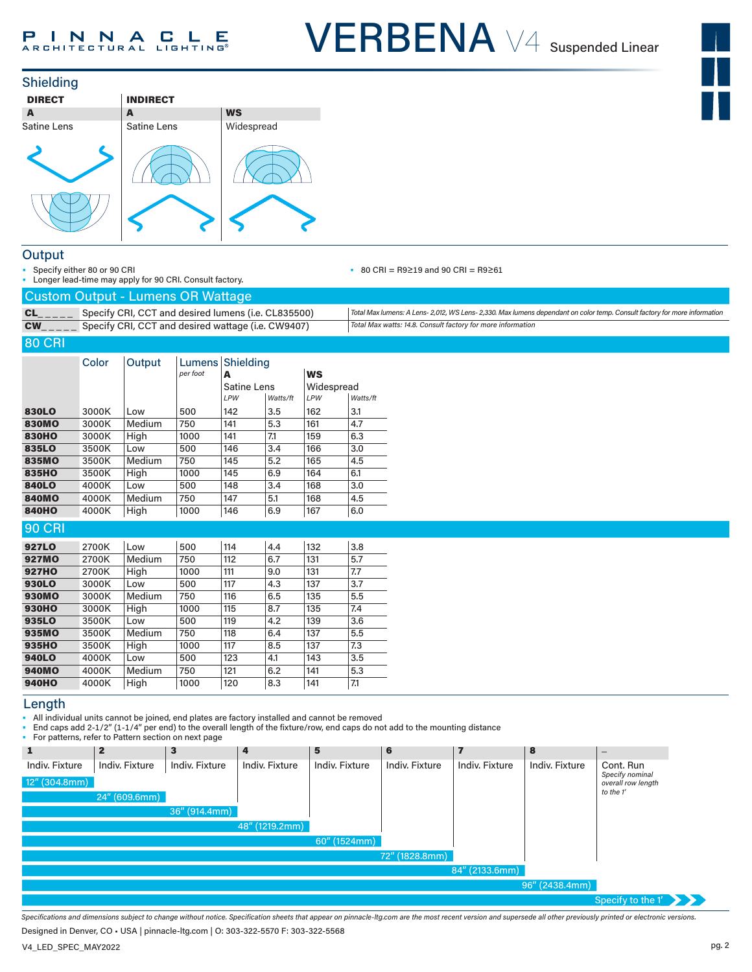



#### **Output**

• Specify either 80 or 90 CRI

• Longer lead-time may apply for 90 CRI. Consult factory.

#### • 80 CRI = R9≥19 and 90 CRI = R9≥61

| <b>Custom Output - Lumens OR Wattage</b> |  |
|------------------------------------------|--|

| rodotom odtpat - Edmond On Wattago                                            |                                                                                                                           |
|-------------------------------------------------------------------------------|---------------------------------------------------------------------------------------------------------------------------|
| Specify CRI, CCT and desired lumens (i.e. CL835500)                           | Total Max lumens: A Lens- 2,012, WS Lens- 2,330. Max lumens dependant on color temp. Consult factory for more information |
| <b>CW</b> <sub>_____</sub> Specify CRI, CCT and desired wattage (i.e. CW9407) | Total Max watts: 14.8. Consult factory for more information                                                               |

#### 80 CRI

|               | Color | Output | <b>Lumens</b><br>per foot | Shielding<br>A     |          | <b>WS</b>  |          |
|---------------|-------|--------|---------------------------|--------------------|----------|------------|----------|
|               |       |        |                           | <b>Satine Lens</b> |          | Widespread |          |
|               |       |        |                           | LPW                | Watts/ft | <b>LPW</b> | Watts/ft |
| 830LO         | 3000K | Low    | 500                       | 142                | 3.5      | 162        | 3.1      |
| <b>830MO</b>  | 3000K | Medium | 750                       | 141                | 5.3      | 161        | 4.7      |
| <b>830HO</b>  | 3000K | High   | 1000                      | 141                | 7.1      | 159        | 6.3      |
| 835LO         | 3500K | Low    | 500                       | 146                | 3.4      | 166        | 3.0      |
| 835MO         | 3500K | Medium | 750                       | 145                | 5.2      | 165        | 4.5      |
| 835HO         | 3500K | High   | 1000                      | 145                | 6.9      | 164        | 6.1      |
| <b>840LO</b>  | 4000K | Low    | 500                       | 148                | 3.4      | 168        | 3.0      |
| <b>840MO</b>  | 4000K | Medium | 750                       | 147                | 5.1      | 168        | 4.5      |
| <b>840HO</b>  | 4000K | High   | 1000                      | 146                | 6.9      | 167        | 6.0      |
| <b>90 CRI</b> |       |        |                           |                    |          |            |          |
| 927LO         | 2700K | Low    | 500                       | 114                | 4.4      | 132        | 3.8      |
| <b>927MO</b>  | 2700K | Medium | 750                       | 112                | 6.7      | 131        | 5.7      |
| <b>927HO</b>  | 2700K | High   | 1000                      | 111                | 9.0      | 131        | 7.7      |
| <b>930LO</b>  | 3000K | Low    | 500                       | 117                | 4.3      | 137        | 3.7      |
| <b>930MO</b>  | 3000K | Medium | 750                       | 116                | 6.5      | 135        | 5.5      |
| <b>930HO</b>  | 3000K | High   | 1000                      | 115                | 8.7      | 135        | 7.4      |
| 935LO         | 3500K | Low    | 500                       | 119                | 4.2      | 139        | 3.6      |
| 935MO         | 3500K | Medium | 750                       | 118                | 6.4      | 137        | 5.5      |
| 935HO         | 3500K | High   | 1000                      | 117                | 8.5      | 137        | 7.3      |
| 940LO         | 4000K | Low    | 500                       | 123                | 4.1      | 143        | 3.5      |
| <b>940MO</b>  | 4000K | Medium | 750                       | 121                | 6.2      | 141        | 5.3      |

### Length 940HO 4000K High 1000 120 8.3 141 7.1

• All individual units cannot be joined, end plates are factory installed and cannot be removed

• End caps add 2-1/2" (1-1/4" per end) to the overall length of the fixture/row, end caps do not add to the mounting distance

• For patterns, refer to Pattern section on next page

|                  | TVI patterns, refer to Fattern section on next page |                  |                |                |                |                   |                |                                                 |
|------------------|-----------------------------------------------------|------------------|----------------|----------------|----------------|-------------------|----------------|-------------------------------------------------|
| 1                | $\mathbf{2}$                                        | 3                | 4              | 5              | 6              |                   | 8              | $\overline{\phantom{m}}$                        |
| Indiv. Fixture   | Indiv. Fixture                                      | Indiv. Fixture   | Indiv. Fixture | Indiv. Fixture | Indiv. Fixture | Indiv. Fixture    | Indiv. Fixture | Cont. Run                                       |
| $12''$ (304.8mm) |                                                     |                  |                |                |                |                   |                | Specify nominal<br>overall row length           |
|                  | 24" (609.6mm)                                       |                  |                |                |                |                   |                | to the 1'                                       |
|                  |                                                     | $36''$ (914.4mm) |                |                |                |                   |                |                                                 |
|                  |                                                     |                  | 48" (1219.2mm) |                |                |                   |                |                                                 |
|                  |                                                     |                  |                | 60" (1524mm)   |                |                   |                |                                                 |
|                  |                                                     |                  |                |                | 72" (1828.8mm) |                   |                |                                                 |
|                  |                                                     |                  |                |                |                | $84''$ (2133.6mm) |                |                                                 |
|                  |                                                     |                  |                |                |                |                   | 96" (2438.4mm) |                                                 |
|                  |                                                     |                  |                |                |                |                   |                | Specify to the $1'$ $\rightarrow$ $\rightarrow$ |

*Specifications and dimensions subject to change without notice. Specification sheets that appear on pinnacle-ltg.com are the most recent version and supersede all other previously printed or electronic versions.*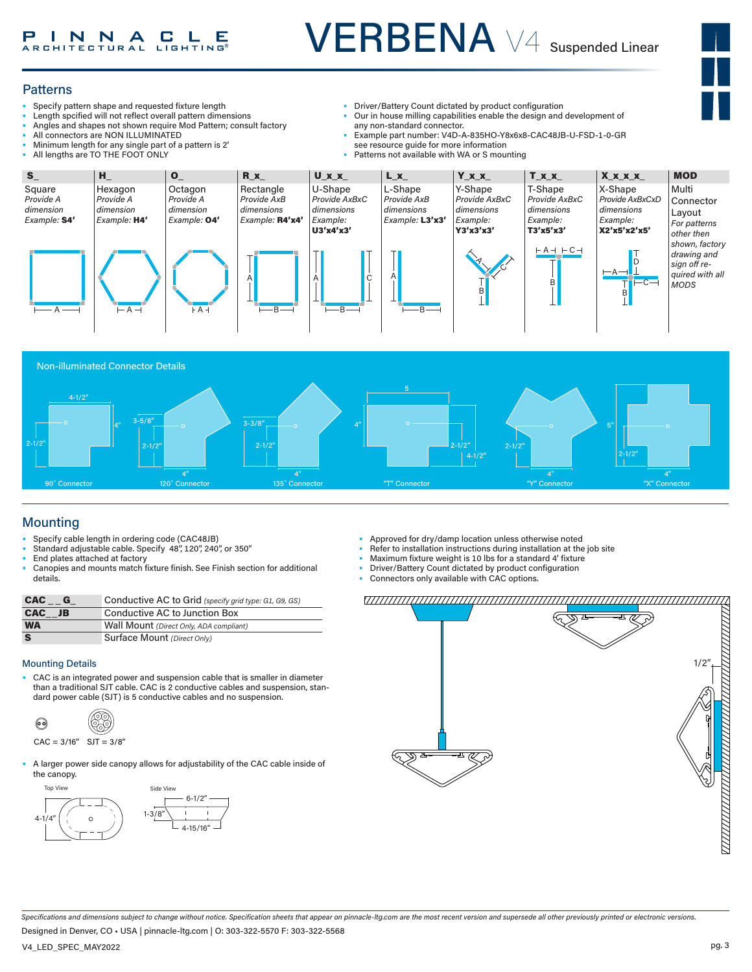#### **Patterns**

- Specify pattern shape and requested fixture length
- Length spcified will not reflect overall pattern dimensions
- Angles and shapes not shown require Mod Pattern; consult factory
- All connectors are NON ILLUMINATED
- Minimum length for any single part of a pattern is 2'
- All lengths are TO THE FOOT ONLY
- Driver/Battery Count dictated by product configuration
- Our in house milling capabilities enable the design and development of any non-standard connector.
- Example part number: V4D-A-835HO-Y8x6x8-CAC48JB-U-FSD-1-0-GR see resource guide for more information
- Patterns not available with WA or S mounting





### Mounting

- Specify cable length in ordering code (CAC48JB)
- Standard adjustable cable. Specify 48", 120", 240", or 350" End plates attached at factory
- Canopies and mounts match fixture finish. See Finish section for additional details.

| <b>CAC</b> | Conductive AC to Grid (specify grid type: G1, G9, GS) |
|------------|-------------------------------------------------------|
| CAC JB     | Conductive AC to Junction Box                         |
| <b>WA</b>  | Wall Mount (Direct Only, ADA compliant)               |
| S          | Surface Mount (Direct Only)                           |

#### Mounting Details

than a traditional SJT cable. CAC is 2 conductive cables and suspension, standard power cable (SJT) is 5 conductive cables and no suspension.



• A larger power side canopy allows for adjustability of the CAC cable inside of the canopy.



- Approved for dry/damp location unless otherwise noted
- Refer to installation instructions during installation at the job site
- Maximum fixture weight is 10 lbs for a standard 4' fixture
- Driver/Battery Count dictated by product configuration
- Briver, Battery Count dictated by product com-



*Specifications and dimensions subject to change without notice. Specification sheets that appear on pinnacle-ltg.com are the most recent version and supersede all other previously printed or electronic versions.*

Designed in Denver, CO • USA | pinnacle-ltg.com | O: 303-322-5570 F: 303-322-5568

V4\_LED\_SPEC\_MAY2022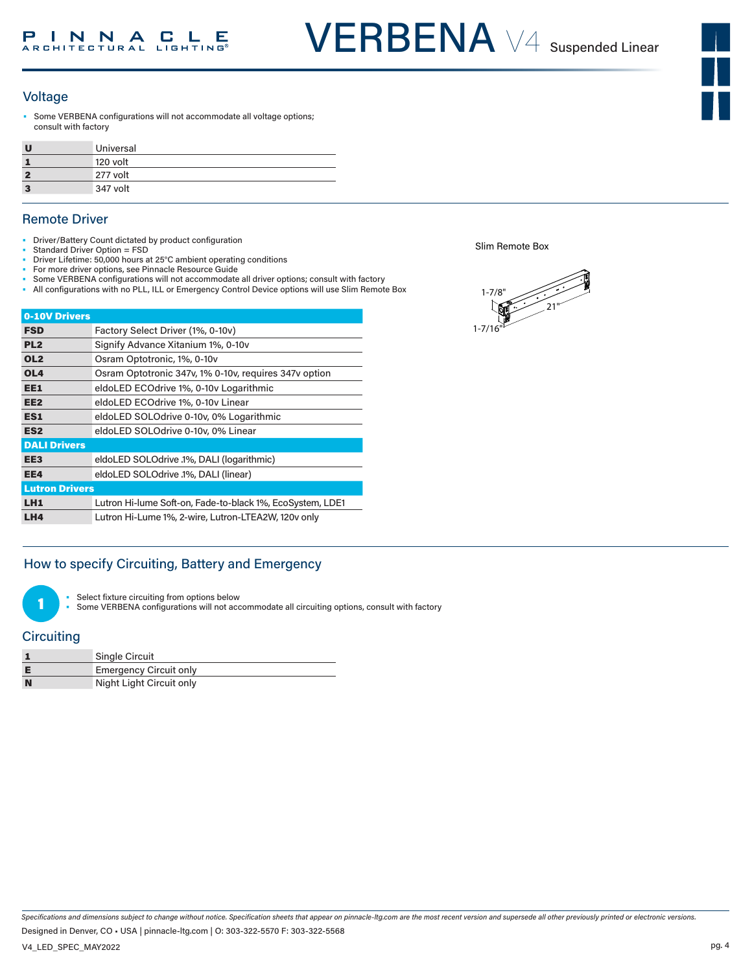#### Voltage

Some VERBENA configurations will not accommodate all voltage options; consult with factory

| Universal |
|-----------|
| 120 volt  |
| 277 volt  |
| 347 volt  |

#### Remote Driver

- Driver/Battery Count dictated by product configuration
- Standard Driver Option = FSD
- Driver Lifetime: 50,000 hours at 25°C ambient operating conditions • For more driver options, see Pinnacle Resource Guide
- Some VERBENA configurations will not accommodate all driver options; consult with factory
- All configurations with no PLL, ILL or Emergency Control Device options will use Slim Remote Box

|                       | 0-10V Drivers                                             |  |  |  |  |  |  |
|-----------------------|-----------------------------------------------------------|--|--|--|--|--|--|
| <b>FSD</b>            | Factory Select Driver (1%, 0-10v)                         |  |  |  |  |  |  |
| PL <sub>2</sub>       | Signify Advance Xitanium 1%, 0-10y                        |  |  |  |  |  |  |
| OL <sub>2</sub>       | Osram Optotronic, 1%, 0-10y                               |  |  |  |  |  |  |
| OL <sub>4</sub>       | Osram Optotronic 347v, 1% 0-10v, requires 347v option     |  |  |  |  |  |  |
| EE1                   | eldoLED ECOdrive 1%, 0-10v Logarithmic                    |  |  |  |  |  |  |
| EE <sub>2</sub>       | eldoLED ECOdrive 1%, 0-10v Linear                         |  |  |  |  |  |  |
| ES1                   | eldoLED SOLOdrive 0-10v, 0% Logarithmic                   |  |  |  |  |  |  |
| ES <sub>2</sub>       | eldoLED SOLOdrive 0-10v, 0% Linear                        |  |  |  |  |  |  |
| <b>DALI Drivers</b>   |                                                           |  |  |  |  |  |  |
| EE <sub>3</sub>       | eldoLED SOLOdrive .1%, DALI (logarithmic)                 |  |  |  |  |  |  |
| EE4                   | eldoLED SOLOdrive .1%, DALI (linear)                      |  |  |  |  |  |  |
| <b>Lutron Drivers</b> |                                                           |  |  |  |  |  |  |
| LH1                   | Lutron Hi-lume Soft-on, Fade-to-black 1%, EcoSystem, LDE1 |  |  |  |  |  |  |
| LH4                   | Lutron Hi-Lume 1%, 2-wire, Lutron-LTEA2W, 120v only       |  |  |  |  |  |  |

#### How to specify Circuiting, Battery and Emergency

Select fixture circuiting from options below

Some VERBENA configurations will not accommodate all circuiting options, consult with factory

#### **Circuiting**

1

|   | Single Circuit                |
|---|-------------------------------|
|   | <b>Emergency Circuit only</b> |
| N | Night Light Circuit only      |

Slim Remote Box



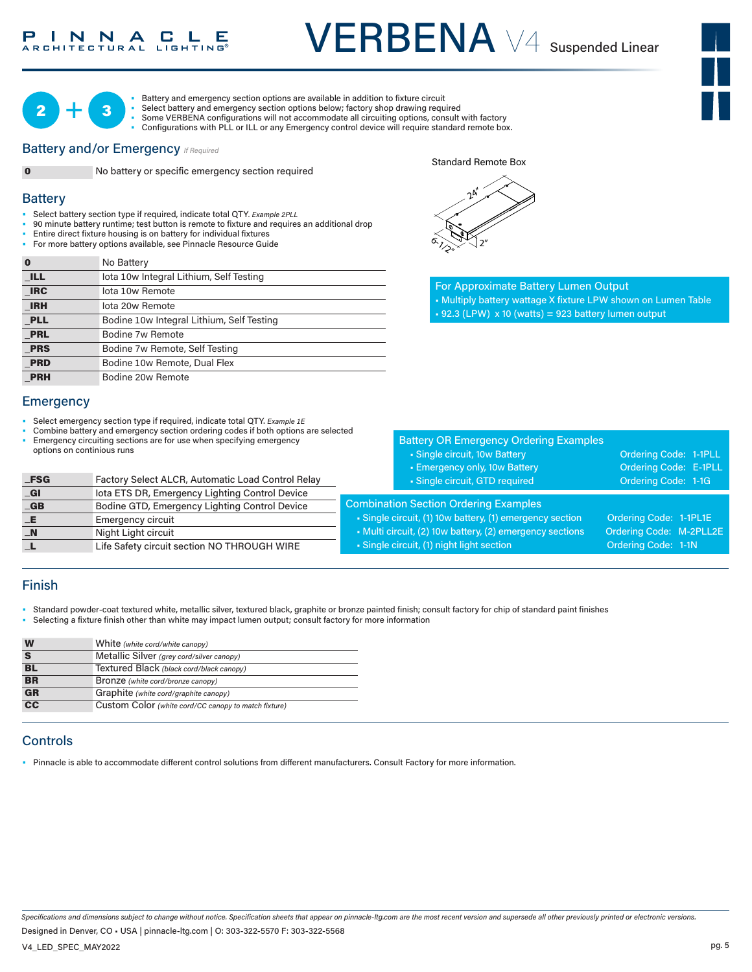#### $C L E$ N N A Е CHITECTURAL

# VERBENA V4 Suspended Linear





**0** No Battery

IRC lota 10w Remote IRH lota 20w Remote

**PRL** Bodine 7w Remote

PRH Bodine 20w Remote

• Battery and emergency section options are available in addition to fixture circuit

- Select battery and emergency section options below; factory shop drawing required
- Some VERBENA configurations will not accommodate all circuiting options, consult with factory • Configurations with PLL or ILL or any Emergency control device will require standard remote box.

#### **Battery and/or Emergency**  *If Required*



**Battery** 

0 No battery or specific emergency section required

• 90 minute battery runtime; test button is remote to fixture and requires an additional drop

• Select battery section type if required, indicate total QTY*. Example 2PLL* 1-7/8"

• Entire direct fixture housing is on battery for individual fixtures • For more battery options available, see Pinnacle Resource Guide

**ILL** Iota 10w Integral Lithium, Self Testing

**PLL** Bodine 10w Integral Lithium, Self Testing

**PRS** Bodine 7w Remote, Self Testing **PRD** Bodine 10w Remote, Dual Flex

Standard Remote Box



For Approximate Battery Lumen Output • Multiply battery wattage X fixture LPW shown on Lumen Table  $\cdot$  92.3 (LPW) x 10 (watts) = 923 battery lumen output

| options on continious runs | Select emergency section type if required, indicate total QTY. Example 1E<br>Combine battery and emergency section ordering codes if both options are selected<br>Emergency circuiting sections are for use when specifying emergency | <b>Battery OR Emergency Ordering Examples</b><br>• Single circuit, 10w Battery<br>- Emergency only, 10w Battery | Ordering Code: 1-1PLL<br><b>Ordering Code: E-1PLL</b> |  |
|----------------------------|---------------------------------------------------------------------------------------------------------------------------------------------------------------------------------------------------------------------------------------|-----------------------------------------------------------------------------------------------------------------|-------------------------------------------------------|--|
| <b>_FSG</b>                | Factory Select ALCR, Automatic Load Control Relay                                                                                                                                                                                     | • Single circuit, GTD required                                                                                  | Ordering Code: 1-1G                                   |  |
| _GI                        | lota ETS DR, Emergency Lighting Control Device                                                                                                                                                                                        |                                                                                                                 |                                                       |  |
| $\overline{\mathbf{G}}$ B  | Bodine GTD, Emergency Lighting Control Device                                                                                                                                                                                         | <b>Combination Section Ordering Examples</b>                                                                    |                                                       |  |
| _E                         | <b>Emergency circuit</b>                                                                                                                                                                                                              | • Single circuit, (1) 10w battery, (1) emergency section                                                        | Ordering Code: 1-1PL1E                                |  |
| _N                         | Night Light circuit                                                                                                                                                                                                                   | • Multi circuit, (2) 10w battery, (2) emergency sections                                                        | Ordering Code: M-2PLL2E                               |  |
|                            | Life Safety circuit section NO THROUGH WIRE                                                                                                                                                                                           | • Single circuit, (1) night light section                                                                       | Ordering Code: 1-1N                                   |  |

#### Finish

**Emergency** 

- Standard powder-coat textured white, metallic silver, textured black, graphite or bronze painted finish; consult factory for chip of standard paint finishes
- Selecting a fixture finish other than white may impact lumen output; consult factory for more information

| W                         | White (white cord/white canopy)                      |
|---------------------------|------------------------------------------------------|
|                           | Metallic Silver (grey cord/silver canopy)            |
| BL                        | Textured Black (black cord/black canopy)             |
| <b>BR</b>                 | Bronze (white cord/bronze canopy)                    |
| $\overline{\mathbf{G}}$ R | Graphite (white cord/graphite canopy)                |
| $\overline{cc}$           | Custom Color (white cord/CC canopy to match fixture) |
|                           |                                                      |

#### **Controls**

• Pinnacle is able to accommodate different control solutions from different manufacturers. Consult Factory for more information.

*Specifications and dimensions subject to change without notice. Specification sheets that appear on pinnacle-ltg.com are the most recent version and supersede all other previously printed or electronic versions.*

Designed in Denver, CO • USA | pinnacle-ltg.com | O: 303-322-5570 F: 303-322-5568

V4\_LED\_SPEC\_MAY2022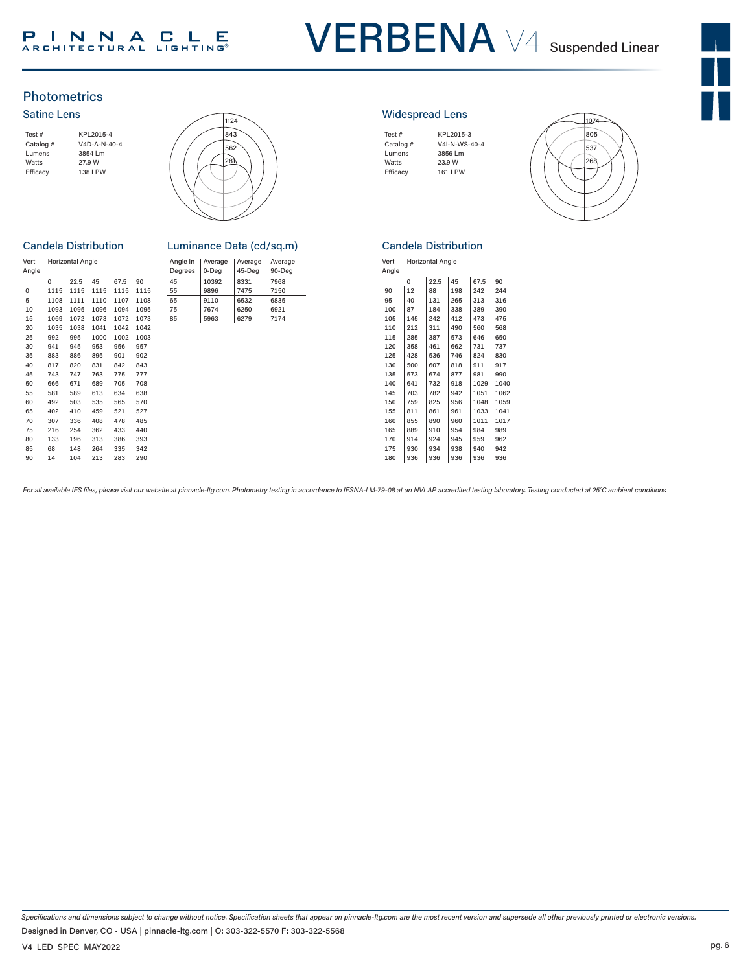### PINNACLE

## VERBENA V4 Suspended Linear



#### **Photometrics**

#### Satine Lens





#### **Candela Distribution**

|      |      |      |                         |      | Angle In | Average | Average | Avera  |
|------|------|------|-------------------------|------|----------|---------|---------|--------|
|      |      |      |                         |      |          |         |         | $90-D$ |
| 0    | 22.5 | 45   | 67.5                    | 90   | 45       | 10392   | 8331    | 7968   |
| 1115 | 1115 | 1115 | 1115                    | 1115 | 55       | 9896    | 7475    | 7150   |
| 1108 | 1111 | 1110 | 1107                    | 1108 | 65       | 9110    | 6532    | 6835   |
| 1093 | 1095 | 1096 | 1094                    | 1095 | 75       | 7674    | 6250    | 6921   |
| 1069 | 1072 | 1073 | 1072                    | 1073 | 85       | 5963    | 6279    | 7174   |
| 1035 | 1038 | 1041 | 1042                    | 1042 |          |         |         |        |
| 992  | 995  | 1000 | 1002                    | 1003 |          |         |         |        |
| 941  | 945  | 953  | 956                     | 957  |          |         |         |        |
| 883  | 886  | 895  | 901                     | 902  |          |         |         |        |
| 817  | 820  | 831  | 842                     | 843  |          |         |         |        |
| 743  | 747  | 763  | 775                     | 777  |          |         |         |        |
| 666  | 671  | 689  | 705                     | 708  |          |         |         |        |
| 581  | 589  | 613  | 634                     | 638  |          |         |         |        |
| 492  | 503  | 535  | 565                     | 570  |          |         |         |        |
| 402  | 410  | 459  | 521                     | 527  |          |         |         |        |
| 307  | 336  | 408  | 478                     | 485  |          |         |         |        |
| 216  | 254  | 362  | 433                     | 440  |          |         |         |        |
| 133  | 196  | 313  | 386                     | 393  |          |         |         |        |
| 68   | 148  | 264  | 335                     | 342  |          |         |         |        |
| 14   | 104  | 213  | 283                     | 290  |          |         |         |        |
|      |      |      | <b>Horizontal Angle</b> |      |          | Degrees | 0-Deg   | 45-Deg |

| Luminance Data (cd/sq.m)<br>.<br>$\mathbf{a}$ |
|-----------------------------------------------|

| Horizontal Angle |      |      |      | Angle In<br>Dearees | Average<br>0-Dea | Average<br>45-Dea | Average<br>90-Dea |      |
|------------------|------|------|------|---------------------|------------------|-------------------|-------------------|------|
| 0                | 22.5 | 45   | 67.5 | 90                  | 45               | 10392             | 8331              | 7968 |
| 1115             | 1115 | 1115 | 1115 | 1115                | 55               | 9896              | 7475              | 7150 |
| 1108             | 1111 | 1110 | 1107 | 1108                | 65               | 9110              | 6532              | 6835 |
| 1093             | 1095 | 1096 | 1094 | 1095                | 75               | 7674              | 6250              | 6921 |
| 1069             | 1072 | 1073 | 1072 | 1073                | 85               | 5963              | 6279              | 7174 |
| 1025             | 1020 | 1011 | 1042 | 1012                |                  |                   |                   |      |

#### Widespread Lens

| Test#     | KPL2015-3      |
|-----------|----------------|
| Catalog # | V4I-N-WS-40-4  |
| Lumens    | 3856 Lm        |
| Watts     | 23.9 W         |
| Efficacv  | <b>161 LPW</b> |
|           |                |
|           |                |



#### Candela Distribution

| Vert  | <b>Horizontal Angle</b> |
|-------|-------------------------|
| Angle |                         |

|     | $\Omega$ | 22.5 | 45  | 67.5 | 90   |
|-----|----------|------|-----|------|------|
| 90  | 12       | 88   | 198 | 242  | 244  |
| 95  | 40       | 131  | 265 | 313  | 316  |
| 100 | 87       | 184  | 338 | 389  | 390  |
| 105 | 145      | 242  | 412 | 473  | 475  |
| 110 | 212      | 311  | 490 | 560  | 568  |
| 115 | 285      | 387  | 573 | 646  | 650  |
| 120 | 358      | 461  | 662 | 731  | 737  |
| 125 | 428      | 536  | 746 | 824  | 830  |
| 130 | 500      | 607  | 818 | 911  | 917  |
| 135 | 573      | 674  | 877 | 981  | 990  |
| 140 | 641      | 732  | 918 | 1029 | 1040 |
| 145 | 703      | 782  | 942 | 1051 | 1062 |
| 150 | 759      | 825  | 956 | 1048 | 1059 |
| 155 | 811      | 861  | 961 | 1033 | 1041 |
| 160 | 855      | 890  | 960 | 1011 | 1017 |
| 165 | 889      | 910  | 954 | 984  | 989  |
| 170 | 914      | 924  | 945 | 959  | 962  |
| 175 | 930      | 934  | 938 | 940  | 942  |
| 180 | 936      | 936  | 936 | 936  | 936  |

For all available IES files, please visit our website at pinnacle-ltg.com. Photometry testing in accordance to IESNA-LM-79-08 at an NVLAP accredited testing laboratory. Testing conducted at 25°C ambient conditions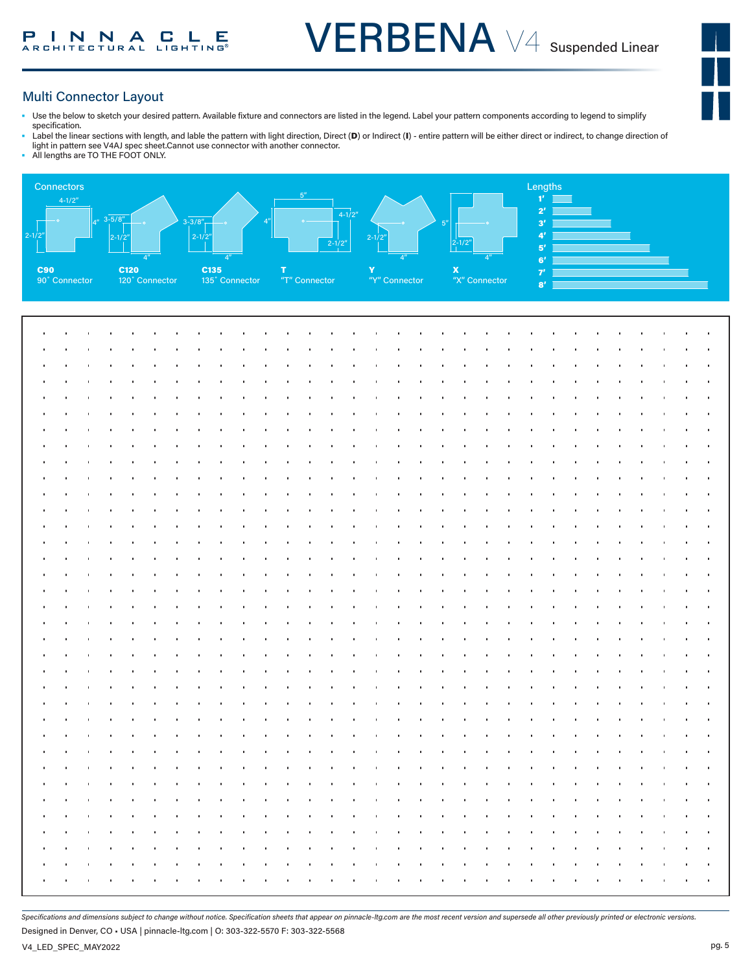

#### Multi Connector Layout

- Use the below to sketch your desired pattern. Available fixture and connectors are listed in the legend. Label your pattern components according to legend to simplify specification.
- Label the linear sections with length, and lable the pattern with light direction, Direct (D) or Indirect (I) entire pattern will be either direct or indirect, to change direction of light in pattern see V4AJ spec sheet.Cannot use connector with another connector.
- All lengths are TO THE FOOT ONLY.



*Specifications and dimensions subject to change without notice. Specification sheets that appear on pinnacle-ltg.com are the most recent version and supersede all other previously printed or electronic versions.*

Designed in Denver, CO • USA | pinnacle-ltg.com | O: 303-322-5570 F: 303-322-5568